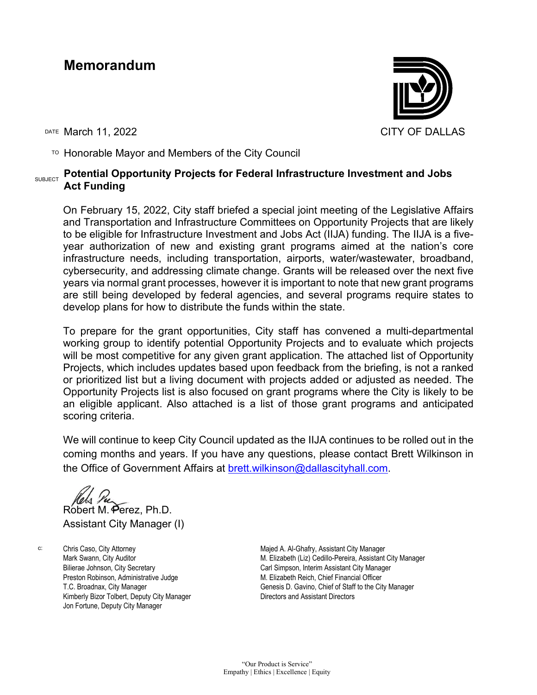## **Memorandum**



DATE March 11, 2022 CITY OF DALLAS

TO Honorable Mayor and Members of the City Council

#### SUBJECT **Potential Opportunity Projects for Federal Infrastructure Investment and Jobs Act Funding**

On February 15, 2022, City staff briefed a special joint meeting of the Legislative Affairs and Transportation and Infrastructure Committees on Opportunity Projects that are likely to be eligible for Infrastructure Investment and Jobs Act (IIJA) funding. The IIJA is a fiveyear authorization of new and existing grant programs aimed at the nation's core infrastructure needs, including transportation, airports, water/wastewater, broadband, cybersecurity, and addressing climate change. Grants will be released over the next five years via normal grant processes, however it is important to note that new grant programs are still being developed by federal agencies, and several programs require states to develop plans for how to distribute the funds within the state.

To prepare for the grant opportunities, City staff has convened a multi-departmental working group to identify potential Opportunity Projects and to evaluate which projects will be most competitive for any given grant application. The attached list of Opportunity Projects, which includes updates based upon feedback from the briefing, is not a ranked or prioritized list but a living document with projects added or adjusted as needed. The Opportunity Projects list is also focused on grant programs where the City is likely to be an eligible applicant. Also attached is a list of those grant programs and anticipated scoring criteria.

We will continue to keep City Council updated as the IIJA continues to be rolled out in the coming months and years. If you have any questions, please contact Brett Wilkinson in the Office of Government Affairs at [brett.wilkinson@dallascityhall.com.](mailto:brett.wilkinson@dallascityhall.com)

Robert M. Perez, Ph.D. Assistant City Manager (I)

c: Chris Caso, City Attorney Mark Swann, City Auditor Bilierae Johnson, City Secretary Preston Robinson, Administrative Judge T.C. Broadnax, City Manager Kimberly Bizor Tolbert, Deputy City Manager Jon Fortune, Deputy City Manager

Majed A. Al-Ghafry, Assistant City Manager M. Elizabeth (Liz) Cedillo-Pereira, Assistant City Manager Carl Simpson, Interim Assistant City Manager M. Elizabeth Reich, Chief Financial Officer Genesis D. Gavino, Chief of Staff to the City Manager Directors and Assistant Directors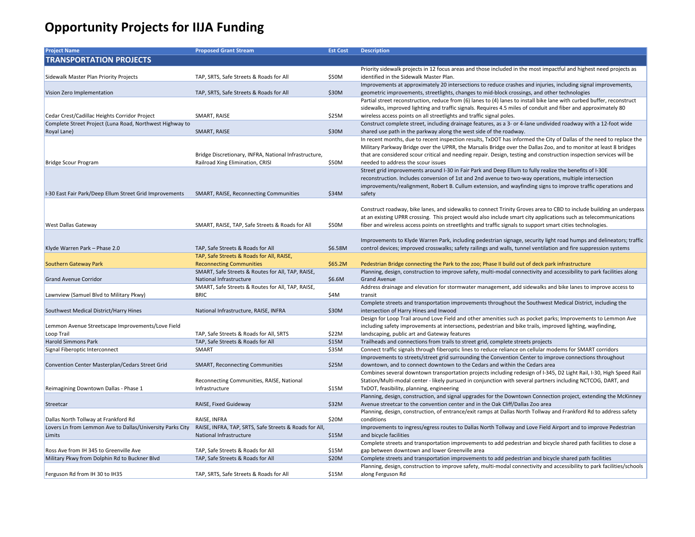| <b>Project Name</b>                                       | <b>Proposed Grant Stream</b>                                                        | <b>Est Cost</b> | <b>Description</b>                                                                         |
|-----------------------------------------------------------|-------------------------------------------------------------------------------------|-----------------|--------------------------------------------------------------------------------------------|
| <b>TRANSPORTATION PROJECTS</b>                            |                                                                                     |                 |                                                                                            |
|                                                           |                                                                                     |                 | Priority sidewalk projects in 12 focus areas and thos                                      |
| Sidewalk Master Plan Priority Projects                    | TAP, SRTS, Safe Streets & Roads for All                                             | \$50M           | identified in the Sidewalk Master Plan.                                                    |
|                                                           |                                                                                     |                 | Improvements at approximately 20 intersections to                                          |
| Vision Zero Implementation                                | TAP, SRTS, Safe Streets & Roads for All                                             | \$30M           | geometric improvements, streetlights, changes to n                                         |
|                                                           |                                                                                     |                 | Partial street reconstruction, reduce from (6) lanes                                       |
|                                                           |                                                                                     |                 | sidewalks, improved lighting and traffic signals. Req                                      |
| Cedar Crest/Cadillac Heights Corridor Project             | SMART, RAISE                                                                        | \$25M           | wireless access points on all streetlights and traffic :                                   |
| Complete Street Project (Luna Road, Northwest Highway to  |                                                                                     |                 | Construct complete street, including drainage featu                                        |
| Royal Lane)                                               | SMART, RAISE                                                                        | \$30M           | shared use path in the parkway along the west side                                         |
|                                                           |                                                                                     |                 | In recent months, due to recent inspection results,                                        |
|                                                           |                                                                                     |                 | Military Parkway Bridge over the UPRR, the Marsali                                         |
|                                                           | Bridge Discretionary, INFRA, National Infrastructure,                               |                 | that are considered scour critical and needing repai                                       |
| <b>Bridge Scour Program</b>                               | Railroad Xing Elimination, CRISI                                                    | \$50M           | needed to address the scour issues                                                         |
|                                                           |                                                                                     |                 | Street grid improvements around I-30 in Fair Park a                                        |
|                                                           |                                                                                     |                 | reconstruction. Includes conversion of 1st and 2nd                                         |
|                                                           |                                                                                     |                 | improvements/realignment, Robert B. Cullum exter                                           |
| I-30 East Fair Park/Deep Ellum Street Grid Improvements   | SMART, RAISE, Reconnecting Communities                                              | \$34M           | safety                                                                                     |
|                                                           |                                                                                     |                 |                                                                                            |
|                                                           |                                                                                     |                 | Construct roadway, bike lanes, and sidewalks to cor                                        |
|                                                           |                                                                                     |                 | at an existing UPRR crossing. This project would als                                       |
| West Dallas Gateway                                       | SMART, RAISE, TAP, Safe Streets & Roads for All                                     | \$50M           | fiber and wireless access points on streetlights and                                       |
|                                                           |                                                                                     |                 |                                                                                            |
|                                                           |                                                                                     |                 | Improvements to Klyde Warren Park, including ped                                           |
| Klyde Warren Park - Phase 2.0                             | TAP, Safe Streets & Roads for All                                                   | \$6.58M         | control devices; improved crosswalks; safety railing                                       |
|                                                           | TAP, Safe Streets & Roads for All, RAISE,                                           |                 |                                                                                            |
| <b>Southern Gateway Park</b>                              | <b>Reconnecting Communities</b>                                                     | \$65.2M         | Pedestrian Bridge connecting the Park to the zoo; P                                        |
|                                                           | SMART, Safe Streets & Routes for All, TAP, RAISE,<br><b>National Infrastructure</b> |                 | Planning, design, construction to improve safety, m<br><b>Grand Avenue</b>                 |
| <b>Grand Avenue Corridor</b>                              |                                                                                     | \$6.6M          |                                                                                            |
|                                                           | SMART, Safe Streets & Routes for All, TAP, RAISE,<br><b>BRIC</b>                    |                 | Address drainage and elevation for stormwater mar                                          |
| Lawnview (Samuel Blvd to Military Pkwy)                   |                                                                                     | \$4M            | transit                                                                                    |
| Southwest Medical District/Harry Hines                    | National Infrastructure, RAISE, INFRA                                               | \$30M           | Complete streets and transportation improvements<br>intersection of Harry Hines and Inwood |
|                                                           |                                                                                     |                 | Design for Loop Trail around Love Field and other a                                        |
| Lemmon Avenue Streetscape Improvements/Love Field         |                                                                                     |                 | including safety improvements at intersections, ped                                        |
| Loop Trail                                                | TAP, Safe Streets & Roads for All, SRTS                                             | \$22M           | landscaping, public art and Gateway features                                               |
| <b>Harold Simmons Park</b>                                | TAP, Safe Streets & Roads for All                                                   | \$15M           | Trailheads and connections from trails to street grid                                      |
| Signal Fiberoptic Interconnect                            | <b>SMART</b>                                                                        | \$35M           | Connect traffic signals through fiberoptic lines to re                                     |
|                                                           |                                                                                     |                 | Improvements to streets/street grid surrounding th                                         |
| Convention Center Masterplan/Cedars Street Grid           | <b>SMART, Reconnecting Communities</b>                                              | \$25M           | downtown, and to connect downtown to the Cedar                                             |
|                                                           |                                                                                     |                 | Combines several downtown transportation project                                           |
|                                                           | Reconnecting Communities, RAISE, National                                           |                 | Station/Multi-modal center - likely pursued in conju                                       |
| Reimagining Downtown Dallas - Phase 1                     | Infrastructure                                                                      | \$15M           | TxDOT, feasibility, planning, engineering                                                  |
|                                                           |                                                                                     |                 | Planning, design, construction, and signal upgrades                                        |
| Streetcar                                                 | RAISE, Fixed Guideway                                                               | \$32M           | Avenue streetcar to the convention center and in th                                        |
|                                                           |                                                                                     |                 | Planning, design, construction, of entrance/exit ram                                       |
| Dallas North Tollway at Frankford Rd                      | RAISE, INFRA                                                                        | \$20M           | conditions                                                                                 |
| Lovers Ln from Lemmon Ave to Dallas/University Parks City | RAISE, INFRA, TAP, SRTS, Safe Streets & Roads for All,                              |                 | Improvements to ingress/egress routes to Dallas No                                         |
| Limits                                                    | National Infrastructure                                                             | \$15M           | and bicycle facilities                                                                     |
|                                                           |                                                                                     |                 | Complete streets and transportation improvements                                           |
| Ross Ave from IH 345 to Greenville Ave                    | TAP, Safe Streets & Roads for All                                                   | \$15M           | gap between downtown and lower Greenville area                                             |
| Military Pkwy from Dolphin Rd to Buckner Blvd             | TAP, Safe Streets & Roads for All                                                   | \$20M           | Complete streets and transportation improvements                                           |
|                                                           |                                                                                     |                 | Planning, design, construction to improve safety, m                                        |
| Ferguson Rd from IH 30 to IH35                            | TAP, SRTS, Safe Streets & Roads for All                                             | \$15M           | along Ferguson Rd                                                                          |

se included in the most impactful and highest need projects as reduce crashes and injuries, including signal improvements, mid-block crossings, and other technologies to (4) lanes to install bike lane with curbed buffer, reconstruct quires 4.5 miles of conduit and fiber and approximately 80 signal poles. Ires, as a 3- or 4-lane undivided roadway with a 12-foot wide of the roadway. TxDOT has informed the City of Dallas of the need to replace the lis Bridge over the Dallas Zoo, and to monitor at least 8 bridges ir. Design, testing and construction inspection services will be and Deep Ellum to fully realize the benefits of I-30E avenue to two-way operations, multiple intersection nsion, and wayfinding signs to improve traffic operations and nnect Trinity Groves area to CBD to include building an underpass so include smart city applications such as telecommunications traffic signals to support smart cities technologies. lestrian signage, security light road humps and delineators; traffic s and walls, tunnel ventilation and fire suppression systems hase II build out of deck park infrastructure rulti-modal connectivity and accessibility to park facilities along nagement, add sidewalks and bike lanes to improve access to complete strangets and transportation interetation including the streets the Southwest Medical District, including the menities such as pocket parks; Improvements to Lemmon Ave destrian and bike trails, improved lighting, wayfinding, d, complete streets projects educe reliance on cellular modems for SMART corridors Ie Convention Center to improve connections throughout rs and within the Cedars area ts including redesign of I-345, D2 Light Rail, I-30, High Speed Rail unction with several partners including NCTCOG, DART, and for the Downtown Connection project, extending the McKinney e Oak Cliff/Dallas Zoo area nps at Dallas North Tollway and Frankford Rd to address safety orth Tollway and Love Field Airport and to improve Pedestrian

complete streets and transportation inprovements to close and incred path facilities to close and it is to add

s to add pedestrian and bicycle shared path facilities nulti-modal connectivity and accessibility to park facilities/schools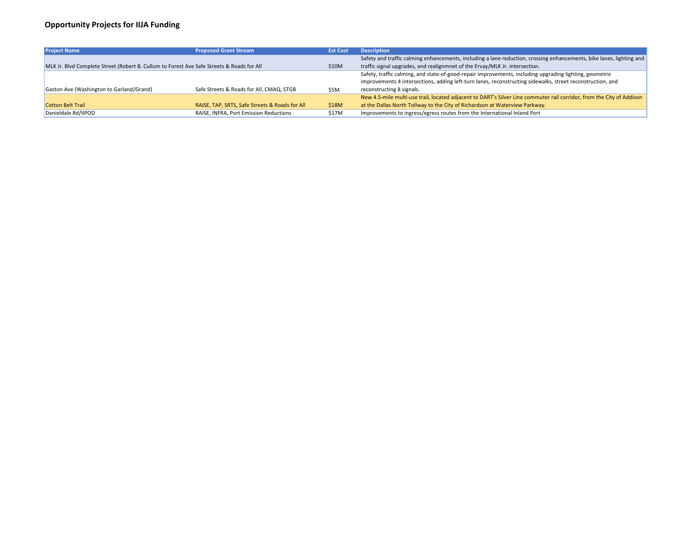| <b>Project Name</b>                                                                       | <b>Proposed Grant Stream</b>                   | <b>Est Cost</b> | <b>Description</b>                                      |
|-------------------------------------------------------------------------------------------|------------------------------------------------|-----------------|---------------------------------------------------------|
|                                                                                           |                                                |                 | Safety and traffic calming enhancements, including a    |
| MLK Jr. Blvd Complete Street (Robert B. Cullum to Forest Ave Safe Streets & Roads for All |                                                | \$10M           | traffic signal upgrades, and realignmnet of the Ervay/  |
|                                                                                           |                                                |                 | Safety, traffic calming, and state-of-good-repair impro |
|                                                                                           |                                                |                 | improvements 4 intersections, adding left-turn lanes,   |
| Gaston Ave (Washington to Garland/Grand)                                                  | Safe Streets & Roads for All, CMAQ, STGB       | \$5M            | reconstructing 8 signals.                               |
|                                                                                           |                                                |                 | New 4.5-mile multi-use trail, located adjacent to DAR   |
| <b>Cotton Belt Trail</b>                                                                  | RAISE, TAP, SRTS, Safe Streets & Roads for All | \$18M           | at the Dallas North Tollway to the City of Richardson   |
| Danieldale Rd/IIPOD                                                                       | RAISE, INFRA, Port Emission Reductions         | \$17M           | Improvements to ingress/egress routes from the Inte     |
|                                                                                           |                                                |                 |                                                         |

Iane reduction, crossing enhancements, bike lanes, lighting and MLK Jr. intersection.

rovements, including upgrading lighting, geometric reconstructing sidewalks, street reconstruction, and

RT's Silver Line commuter rail corridor, from the City of Addison at Waterview Parkway. ernational Inland Port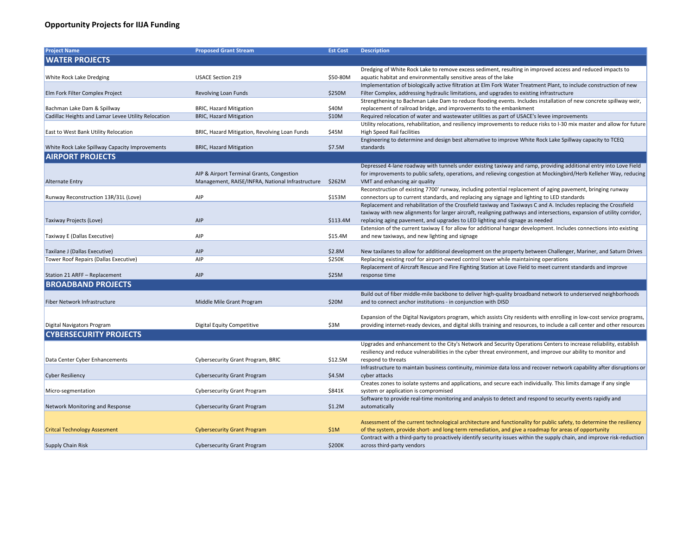| <b>Project Name</b>                                 | <b>Proposed Grant Stream</b>                     | <b>Est Cost</b> | <b>Description</b>                                                                                          |
|-----------------------------------------------------|--------------------------------------------------|-----------------|-------------------------------------------------------------------------------------------------------------|
| <b>WATER PROJECTS</b>                               |                                                  |                 |                                                                                                             |
|                                                     |                                                  |                 | Dredging of White Rock Lake to remove excess sedin                                                          |
| White Rock Lake Dredging                            | <b>USACE Section 219</b>                         | \$50-80M        | aquatic habitat and environmentally sensitive areas                                                         |
|                                                     |                                                  |                 | Implementation of biologically active filtration at Elm                                                     |
| Elm Fork Filter Complex Project                     | Revolving Loan Funds                             | \$250M          | Filter Complex, addressing hydraulic limitations, and                                                       |
|                                                     |                                                  |                 | Strengthening to Bachman Lake Dam to reduce flood                                                           |
| Bachman Lake Dam & Spillway                         | <b>BRIC, Hazard Mitigation</b>                   | \$40M           | replacement of railroad bridge, and improvements to                                                         |
| Cadillac Heights and Lamar Levee Utility Relocation | <b>BRIC, Hazard Mitigation</b>                   | \$10M           | Required relocation of water and wastewater utilitie                                                        |
|                                                     |                                                  |                 | Utility relocations, rehabilitation, and resiliency impr                                                    |
| East to West Bank Utility Relocation                | BRIC, Hazard Mitigation, Revolving Loan Funds    | \$45M           | <b>High Speed Rail facilities</b>                                                                           |
|                                                     |                                                  |                 | Engineering to determine and design best alternative                                                        |
| White Rock Lake Spillway Capacity Improvements      | <b>BRIC, Hazard Mitigation</b>                   | \$7.5M          | standards                                                                                                   |
| <b>AIRPORT PROJECTS</b>                             |                                                  |                 |                                                                                                             |
|                                                     |                                                  |                 | Depressed 4-lane roadway with tunnels under existir                                                         |
|                                                     | AIP & Airport Terminal Grants, Congestion        |                 | for improvements to public safety, operations, and re                                                       |
| <b>Alternate Entry</b>                              | Management, RAISE/INFRA, National Infrastructure | \$262M          | VMT and enhancing air quality                                                                               |
|                                                     |                                                  |                 | Reconstruction of existing 7700' runway, including p                                                        |
| Runway Reconstruction 13R/31L (Love)                | <b>AIP</b>                                       | \$153M          | connectors up to current standards, and replacing ar                                                        |
|                                                     |                                                  |                 | Replacement and rehabilitation of the Crossfield taxi                                                       |
|                                                     |                                                  |                 | taxiway with new alignments for larger aircraft, reali                                                      |
| Taxiway Projects (Love)                             | <b>AIP</b>                                       | \$113.4M        | replacing aging pavement, and upgrades to LED light                                                         |
| Taxiway E (Dallas Executive)                        | AIP                                              | \$15.4M         | Extension of the current taxiway E for allow for addit<br>and new taxiways, and new lighting and signage    |
|                                                     |                                                  |                 |                                                                                                             |
| Taxilane J (Dallas Executive)                       | <b>AIP</b>                                       | \$2.8M          | New taxilanes to allow for additional development o                                                         |
| Tower Roof Repairs (Dallas Executive)               | AIP                                              | \$250K          | Replacing existing roof for airport-owned control tov                                                       |
|                                                     |                                                  |                 | Replacement of Aircraft Rescue and Fire Fighting Sta                                                        |
| Station 21 ARFF - Replacement                       | AIP                                              | \$25M           | response time                                                                                               |
| <b>BROADBAND PROJECTS</b>                           |                                                  |                 |                                                                                                             |
|                                                     |                                                  |                 | Build out of fiber middle-mile backbone to deliver hight                                                    |
| Fiber Network Infrastructure                        | Middle Mile Grant Program                        | \$20M           | and to connect anchor institutions - in conjunction w                                                       |
|                                                     |                                                  |                 |                                                                                                             |
|                                                     |                                                  |                 | Expansion of the Digital Navigators program, which a                                                        |
| Digital Navigators Program                          | <b>Digital Equity Competitive</b>                | \$3M            | providing internet-ready devices, and digital skills tra                                                    |
| <b>CYBERSECURITY PROJECTS</b>                       |                                                  |                 |                                                                                                             |
|                                                     |                                                  |                 | Upgrades and enhancement to the City's Network ar                                                           |
|                                                     |                                                  |                 | resiliency and reduce vulnerabilities in the cyber thre                                                     |
| Data Center Cyber Enhancements                      | <b>Cybersecurity Grant Program, BRIC</b>         | \$12.5M         | respond to threats                                                                                          |
|                                                     |                                                  |                 | Infrastructure to maintain business continuity, minin                                                       |
| <b>Cyber Resiliency</b>                             | <b>Cybersecurity Grant Program</b>               | \$4.5M          | cyber attacks                                                                                               |
|                                                     |                                                  |                 | Creates zones to isolate systems and applications, an                                                       |
| Micro-segmentation                                  | <b>Cybersecurity Grant Program</b>               | \$841K          | system or application is compromised                                                                        |
|                                                     |                                                  |                 | Software to provide real-time monitoring and analys                                                         |
| Network Monitoring and Response                     | <b>Cybersecurity Grant Program</b>               | \$1.2M          | automatically                                                                                               |
|                                                     |                                                  |                 |                                                                                                             |
| <b>Critcal Technology Assesment</b>                 |                                                  | \$1M            | Assessment of the current technological architecture<br>of the system, provide short- and long-term remedia |
|                                                     | <b>Cybersecurity Grant Program</b>               |                 | Contract with a third-party to proactively identify sed                                                     |
| <b>Supply Chain Risk</b>                            | <b>Cybersecurity Grant Program</b>               | \$200K          | across third-party vendors                                                                                  |
|                                                     |                                                  |                 |                                                                                                             |

ment, resulting in improved access and reduced impacts to of the lake

n Fork Water Treatment Plant, to include construction of new upgrades to existing infrastructure

ding events. Includes installation of new concrete spillway weir, o the embankment

s as part of USACE's levee improvements

rovements to reduce risks to I-30 mix master and allow for future

e to improve White Rock Lake Spillway capacity to TCEQ

ng taxiway and ramp, providing additional entry into Love Field elieving congestion at Mockingbird/Herb Kelleher Way, reducing

otential replacement of aging pavement, bringing runway ny signage and lighting to LED standards

way and Taxiways C and A. Includes replacing the Crossfield

igning pathways and intersections, expansion of utility corridor, ting and signage as needed

tional hangar development. Includes connections into existing

n the property between Challenger, Mariner, and Saturn Drives wer while maintaining operations

Ition at Love Field to meet current standards and improve

gh-quality broadband network to underserved neighborhoods ith DISD

assists City residents with enrolling in low-cost service programs, aining and resources, to include a call center and other resources

nd Security Operations Centers to increase reliability, establish eat environment, and improve our ability to monitor and

nize data loss and recover network capability after disruptions or

nd secure each individually. This limits damage if any single

sis to detect and respond to security events rapidly and

and functionality for public safety, to determine the resiliency ition, and give a roadmap for areas of opportunity curity issues within the supply chain, and improve risk-reduction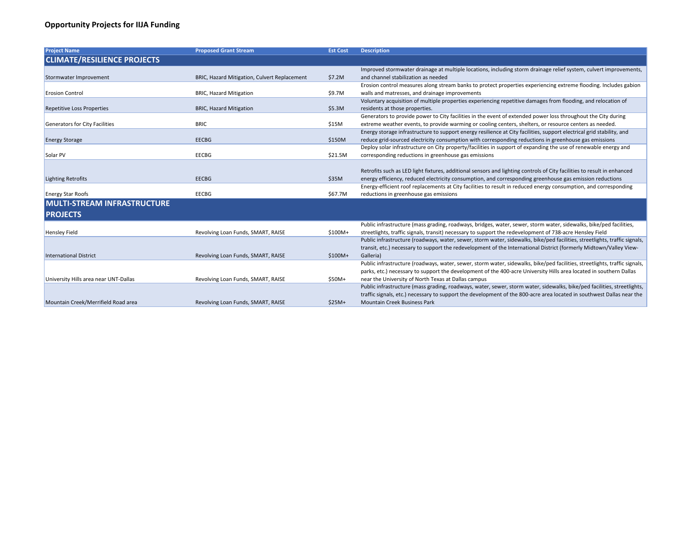| <b>Project Name</b>                   | <b>Proposed Grant Stream</b>                 | <b>Est Cost</b> | <b>Description</b>                                          |
|---------------------------------------|----------------------------------------------|-----------------|-------------------------------------------------------------|
| <b>CLIMATE/RESILIENCE PROJECTS</b>    |                                              |                 |                                                             |
|                                       |                                              |                 | Improved stormwater drainage at multiple locations, in      |
| Stormwater Improvement                | BRIC, Hazard Mitigation, Culvert Replacement | \$7.2M          | and channel stabilization as needed                         |
|                                       |                                              |                 | Erosion control measures along stream banks to prote        |
| <b>Erosion Control</b>                | <b>BRIC, Hazard Mitigation</b>               | \$9.7M          | walls and matresses, and drainage improvements              |
|                                       |                                              |                 | Voluntary acquisition of multiple properties experienci     |
| Repetitive Loss Properties            | <b>BRIC, Hazard Mitigation</b>               | \$5.3M          | residents at those properties.                              |
|                                       |                                              |                 | Generators to provide power to City facilities in the eve   |
| <b>Generators for City Facilities</b> | <b>BRIC</b>                                  | \$15M           | extreme weather events, to provide warming or coolin        |
|                                       |                                              |                 | Energy storage infrastructure to support energy resilie     |
| <b>Energy Storage</b>                 | <b>EECBG</b>                                 | \$150M          | reduce grid-sourced electricity consumption with corre      |
|                                       |                                              |                 | Deploy solar infrastructure on City property/facilities in  |
| Solar PV                              | <b>EECBG</b>                                 | \$21.5M         | corresponding reductions in greenhouse gas emissions        |
|                                       |                                              |                 |                                                             |
|                                       |                                              |                 | Retrofits such as LED light fixtures, additional sensors a  |
| <b>Lighting Retrofits</b>             | <b>EECBG</b>                                 | \$35M           | energy efficiency, reduced electricity consumption, and     |
|                                       |                                              |                 | Energy-efficient roof replacements at City facilities to r  |
| <b>Energy Star Roofs</b>              | <b>EECBG</b>                                 | \$67.7M         | reductions in greenhouse gas emissions                      |
| <b>MULTI-STREAM INFRASTRUCTURE</b>    |                                              |                 |                                                             |
| <b>PROJECTS</b>                       |                                              |                 |                                                             |
|                                       |                                              |                 | Public infrastructure (mass grading, roadways, bridges,     |
| <b>Hensley Field</b>                  | Revolving Loan Funds, SMART, RAISE           | \$100M+         | streetlights, traffic signals, transit) necessary to suppor |
|                                       |                                              |                 | Public infrastructure (roadways, water, sewer, storm w      |
|                                       |                                              |                 | transit, etc.) necessary to support the redevelopment o     |
| <b>International District</b>         | Revolving Loan Funds, SMART, RAISE           | $$100M+$        | Galleria)                                                   |
|                                       |                                              |                 | Public infrastructure (roadways, water, sewer, storm w      |
|                                       |                                              |                 | parks, etc.) necessary to support the development of t      |
| University Hills area near UNT-Dallas | Revolving Loan Funds, SMART, RAISE           | \$50M+          | near the University of North Texas at Dallas campus         |
|                                       |                                              |                 | Public infrastructure (mass grading, roadways, water, s     |
|                                       |                                              |                 | traffic signals, etc.) necessary to support the developm    |
| Mountain Creek/Merrifield Road area   | Revolving Loan Funds, SMART, RAISE           | $$25M+$         | <b>Mountain Creek Business Park</b>                         |

, including storm drainage relief system, culvert improvements,

tect properties experiencing extreme flooding. Includes gabion

ncing repetitive damages from flooding, and relocation of

event of extended power loss throughout the City during ling centers, shelters, or resource centers as needed. lience at City facilities, support electrical grid stability, and rresponding reductions in greenhouse gas emissions in support of expanding the use of renewable energy and

s and lighting controls of City facilities to result in enhanced and corresponding greenhouse gas emission reductions o result in reduced energy consumption, and corresponding

es, water, sewer, storm water, sidewalks, bike/ped facilities, ort the redevelopment of 738-acre Hensley Field water, sidewalks, bike/ped facilities, streetlights, traffic signals, nt of the International District (formerly Midtown/Valley View-

water, sidewalks, bike/ped facilities, streetlights, traffic signals, f the 400-acre University Hills area located in southern Dallas

r, sewer, storm water, sidewalks, bike/ped facilities, streetlights, oment of the 800-acre area located in southwest Dallas near the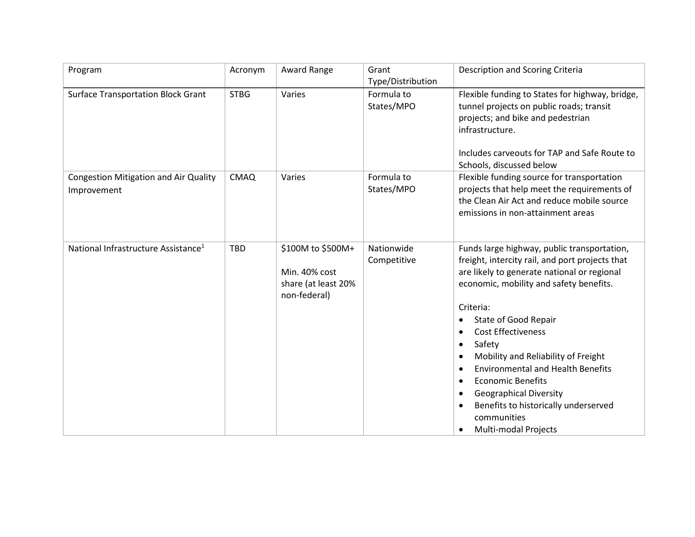| Program                                                     | Acronym     | Award Range                                                               | Grant<br>Type/Distribution | Description and Scoring Criteria                                                                                                                                                                                                                                                                                                                                                                                                                                                                                           |
|-------------------------------------------------------------|-------------|---------------------------------------------------------------------------|----------------------------|----------------------------------------------------------------------------------------------------------------------------------------------------------------------------------------------------------------------------------------------------------------------------------------------------------------------------------------------------------------------------------------------------------------------------------------------------------------------------------------------------------------------------|
| <b>Surface Transportation Block Grant</b>                   | <b>STBG</b> | Varies                                                                    | Formula to<br>States/MPO   | Flexible funding to States for highway, bridge,<br>tunnel projects on public roads; transit<br>projects; and bike and pedestrian<br>infrastructure.<br>Includes carveouts for TAP and Safe Route to<br>Schools, discussed below                                                                                                                                                                                                                                                                                            |
| <b>Congestion Mitigation and Air Quality</b><br>Improvement | <b>CMAQ</b> | Varies                                                                    | Formula to<br>States/MPO   | Flexible funding source for transportation<br>projects that help meet the requirements of<br>the Clean Air Act and reduce mobile source<br>emissions in non-attainment areas                                                                                                                                                                                                                                                                                                                                               |
| National Infrastructure Assistance <sup>1</sup>             | <b>TBD</b>  | \$100M to \$500M+<br>Min. 40% cost<br>share (at least 20%<br>non-federal) | Nationwide<br>Competitive  | Funds large highway, public transportation,<br>freight, intercity rail, and port projects that<br>are likely to generate national or regional<br>economic, mobility and safety benefits.<br>Criteria:<br>State of Good Repair<br>٠<br><b>Cost Effectiveness</b><br>Safety<br>٠<br>Mobility and Reliability of Freight<br><b>Environmental and Health Benefits</b><br><b>Economic Benefits</b><br><b>Geographical Diversity</b><br>$\bullet$<br>Benefits to historically underserved<br>communities<br>Multi-modal Projects |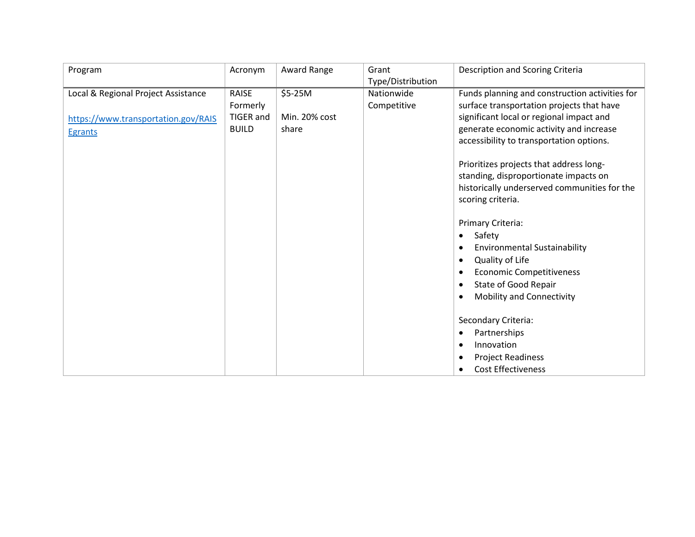| Program                                                                                      | Acronym                                               | Award Range                       | Grant                     | Description and Scoring Criteria                                                                                                                                                                                                                                                                                                                                                                                                                                                                                                                                                                                                                                                                                                      |
|----------------------------------------------------------------------------------------------|-------------------------------------------------------|-----------------------------------|---------------------------|---------------------------------------------------------------------------------------------------------------------------------------------------------------------------------------------------------------------------------------------------------------------------------------------------------------------------------------------------------------------------------------------------------------------------------------------------------------------------------------------------------------------------------------------------------------------------------------------------------------------------------------------------------------------------------------------------------------------------------------|
|                                                                                              |                                                       |                                   | Type/Distribution         |                                                                                                                                                                                                                                                                                                                                                                                                                                                                                                                                                                                                                                                                                                                                       |
| Local & Regional Project Assistance<br>https://www.transportation.gov/RAIS<br><b>Egrants</b> | <b>RAISE</b><br>Formerly<br>TIGER and<br><b>BUILD</b> | \$5-25M<br>Min. 20% cost<br>share | Nationwide<br>Competitive | Funds planning and construction activities for<br>surface transportation projects that have<br>significant local or regional impact and<br>generate economic activity and increase<br>accessibility to transportation options.<br>Prioritizes projects that address long-<br>standing, disproportionate impacts on<br>historically underserved communities for the<br>scoring criteria.<br>Primary Criteria:<br>Safety<br>٠<br><b>Environmental Sustainability</b><br>٠<br>Quality of Life<br>٠<br><b>Economic Competitiveness</b><br>$\bullet$<br>State of Good Repair<br>$\bullet$<br><b>Mobility and Connectivity</b><br>٠<br>Secondary Criteria:<br>Partnerships<br>٠<br>Innovation<br>$\bullet$<br><b>Project Readiness</b><br>٠ |
|                                                                                              |                                                       |                                   |                           | <b>Cost Effectiveness</b><br>$\bullet$                                                                                                                                                                                                                                                                                                                                                                                                                                                                                                                                                                                                                                                                                                |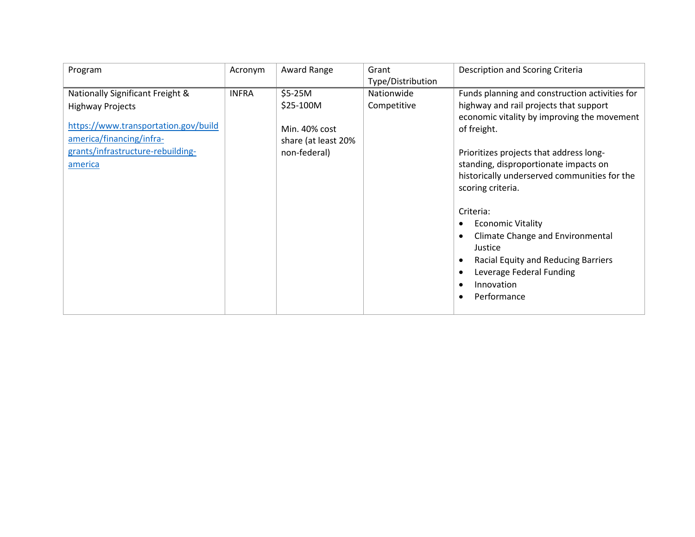| Program                              | Acronym      | Award Range         | Grant             | Description and Scoring Criteria               |
|--------------------------------------|--------------|---------------------|-------------------|------------------------------------------------|
|                                      |              |                     | Type/Distribution |                                                |
| Nationally Significant Freight &     | <b>INFRA</b> | $$5-25M$            | Nationwide        | Funds planning and construction activities for |
| <b>Highway Projects</b>              |              | \$25-100M           | Competitive       | highway and rail projects that support         |
|                                      |              |                     |                   | economic vitality by improving the movement    |
| https://www.transportation.gov/build |              | Min. 40% cost       |                   | of freight.                                    |
| america/financing/infra-             |              | share (at least 20% |                   |                                                |
| grants/infrastructure-rebuilding-    |              | non-federal)        |                   | Prioritizes projects that address long-        |
| america                              |              |                     |                   | standing, disproportionate impacts on          |
|                                      |              |                     |                   | historically underserved communities for the   |
|                                      |              |                     |                   | scoring criteria.                              |
|                                      |              |                     |                   |                                                |
|                                      |              |                     |                   | Criteria:                                      |
|                                      |              |                     |                   | <b>Economic Vitality</b>                       |
|                                      |              |                     |                   | <b>Climate Change and Environmental</b>        |
|                                      |              |                     |                   | Justice                                        |
|                                      |              |                     |                   | Racial Equity and Reducing Barriers            |
|                                      |              |                     |                   | Leverage Federal Funding                       |
|                                      |              |                     |                   | Innovation<br>$\bullet$                        |
|                                      |              |                     |                   | Performance<br>$\bullet$                       |
|                                      |              |                     |                   |                                                |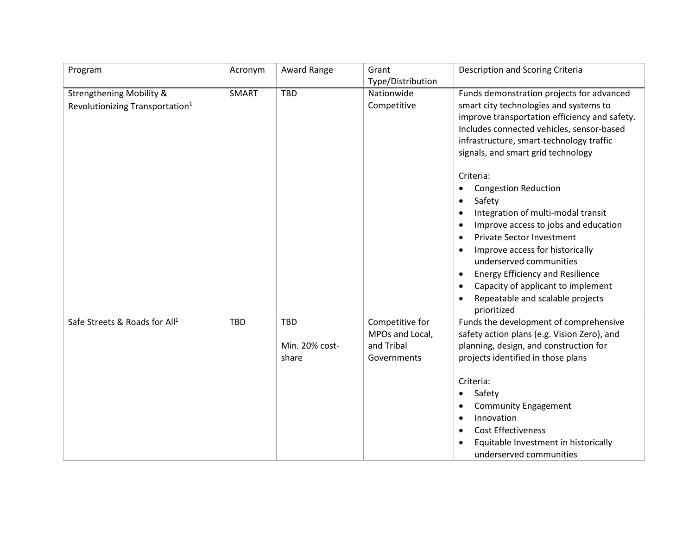| Program                                                                            | Acronym      | Award Range                           | Grant                                                           | Description and Scoring Criteria                                                                                                                                                                                                                                                                                                                                                                                                                       |
|------------------------------------------------------------------------------------|--------------|---------------------------------------|-----------------------------------------------------------------|--------------------------------------------------------------------------------------------------------------------------------------------------------------------------------------------------------------------------------------------------------------------------------------------------------------------------------------------------------------------------------------------------------------------------------------------------------|
|                                                                                    |              |                                       | Type/Distribution                                               |                                                                                                                                                                                                                                                                                                                                                                                                                                                        |
| <b>Strengthening Mobility &amp;</b><br>Revolutionizing Transportation <sup>1</sup> | <b>SMART</b> | <b>TBD</b>                            | Nationwide<br>Competitive                                       | Funds demonstration projects for advanced<br>smart city technologies and systems to<br>improve transportation efficiency and safety.<br>Includes connected vehicles, sensor-based<br>infrastructure, smart-technology traffic<br>signals, and smart grid technology<br>Criteria:<br><b>Congestion Reduction</b><br>Safety<br>٠<br>Integration of multi-modal transit<br>Improve access to jobs and education<br>$\bullet$<br>Private Sector Investment |
|                                                                                    |              |                                       |                                                                 | Improve access for historically<br>underserved communities<br><b>Energy Efficiency and Resilience</b><br>Capacity of applicant to implement<br>Repeatable and scalable projects<br>prioritized                                                                                                                                                                                                                                                         |
| Safe Streets & Roads for All <sup>1</sup>                                          | <b>TBD</b>   | <b>TBD</b><br>Min. 20% cost-<br>share | Competitive for<br>MPOs and Local,<br>and Tribal<br>Governments | Funds the development of comprehensive<br>safety action plans (e.g. Vision Zero), and<br>planning, design, and construction for<br>projects identified in those plans<br>Criteria:<br>Safety<br><b>Community Engagement</b><br>Innovation<br>$\bullet$<br><b>Cost Effectiveness</b><br>Equitable Investment in historically<br>underserved communities                                                                                                 |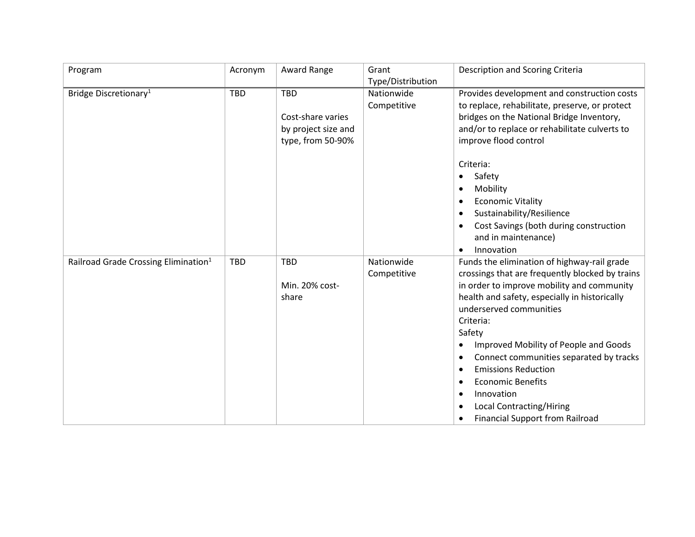| Program                                          | Acronym    | Award Range                                                                 | Grant                     | Description and Scoring Criteria                                                                                                                                                                                                                                                                                                                                                                                                                                                              |
|--------------------------------------------------|------------|-----------------------------------------------------------------------------|---------------------------|-----------------------------------------------------------------------------------------------------------------------------------------------------------------------------------------------------------------------------------------------------------------------------------------------------------------------------------------------------------------------------------------------------------------------------------------------------------------------------------------------|
|                                                  |            |                                                                             | Type/Distribution         |                                                                                                                                                                                                                                                                                                                                                                                                                                                                                               |
| Bridge Discretionary <sup>1</sup>                | <b>TBD</b> | <b>TBD</b><br>Cost-share varies<br>by project size and<br>type, from 50-90% | Nationwide<br>Competitive | Provides development and construction costs<br>to replace, rehabilitate, preserve, or protect<br>bridges on the National Bridge Inventory,<br>and/or to replace or rehabilitate culverts to<br>improve flood control<br>Criteria:<br>Safety<br>$\bullet$<br>Mobility<br><b>Economic Vitality</b><br>Sustainability/Resilience<br>Cost Savings (both during construction<br>and in maintenance)<br>Innovation<br>$\bullet$                                                                     |
| Railroad Grade Crossing Elimination <sup>1</sup> | <b>TBD</b> | <b>TBD</b><br>Min. 20% cost-<br>share                                       | Nationwide<br>Competitive | Funds the elimination of highway-rail grade<br>crossings that are frequently blocked by trains<br>in order to improve mobility and community<br>health and safety, especially in historically<br>underserved communities<br>Criteria:<br>Safety<br>Improved Mobility of People and Goods<br>Connect communities separated by tracks<br><b>Emissions Reduction</b><br>٠<br><b>Economic Benefits</b><br>Innovation<br><b>Local Contracting/Hiring</b><br><b>Financial Support from Railroad</b> |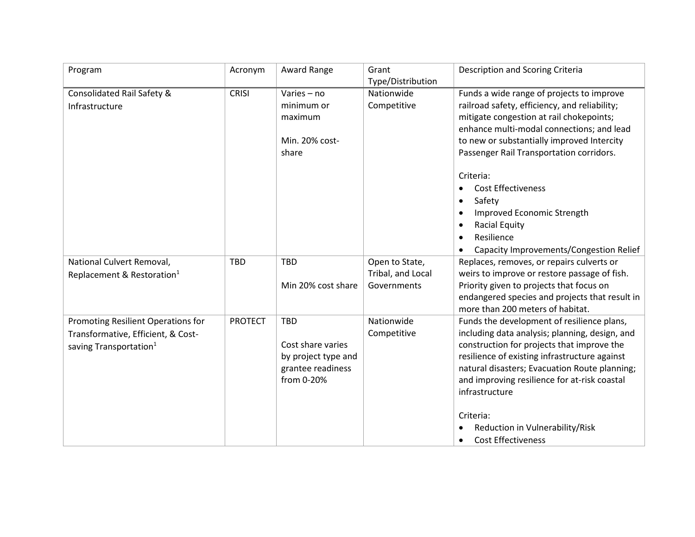| Program                                                                                                        | Acronym        | Award Range                                                                               | Grant                                              | Description and Scoring Criteria                                                                                                                                                                                                                                                                                                                                                                                                                              |
|----------------------------------------------------------------------------------------------------------------|----------------|-------------------------------------------------------------------------------------------|----------------------------------------------------|---------------------------------------------------------------------------------------------------------------------------------------------------------------------------------------------------------------------------------------------------------------------------------------------------------------------------------------------------------------------------------------------------------------------------------------------------------------|
|                                                                                                                |                |                                                                                           | Type/Distribution                                  |                                                                                                                                                                                                                                                                                                                                                                                                                                                               |
| Consolidated Rail Safety &<br>Infrastructure                                                                   | <b>CRISI</b>   | Varies - no<br>minimum or<br>maximum<br>Min. 20% cost-<br>share                           | Nationwide<br>Competitive                          | Funds a wide range of projects to improve<br>railroad safety, efficiency, and reliability;<br>mitigate congestion at rail chokepoints;<br>enhance multi-modal connections; and lead<br>to new or substantially improved Intercity<br>Passenger Rail Transportation corridors.<br>Criteria:<br><b>Cost Effectiveness</b><br>Safety<br>$\bullet$<br>Improved Economic Strength<br><b>Racial Equity</b><br>Resilience<br>Capacity Improvements/Congestion Relief |
| National Culvert Removal,<br>Replacement & Restoration <sup>1</sup>                                            | <b>TBD</b>     | <b>TBD</b><br>Min 20% cost share                                                          | Open to State,<br>Tribal, and Local<br>Governments | Replaces, removes, or repairs culverts or<br>weirs to improve or restore passage of fish.<br>Priority given to projects that focus on<br>endangered species and projects that result in<br>more than 200 meters of habitat.                                                                                                                                                                                                                                   |
| Promoting Resilient Operations for<br>Transformative, Efficient, & Cost-<br>saving Transportation <sup>1</sup> | <b>PROTECT</b> | <b>TBD</b><br>Cost share varies<br>by project type and<br>grantee readiness<br>from 0-20% | Nationwide<br>Competitive                          | Funds the development of resilience plans,<br>including data analysis; planning, design, and<br>construction for projects that improve the<br>resilience of existing infrastructure against<br>natural disasters; Evacuation Route planning;<br>and improving resilience for at-risk coastal<br>infrastructure<br>Criteria:<br>Reduction in Vulnerability/Risk<br><b>Cost Effectiveness</b><br>$\bullet$                                                      |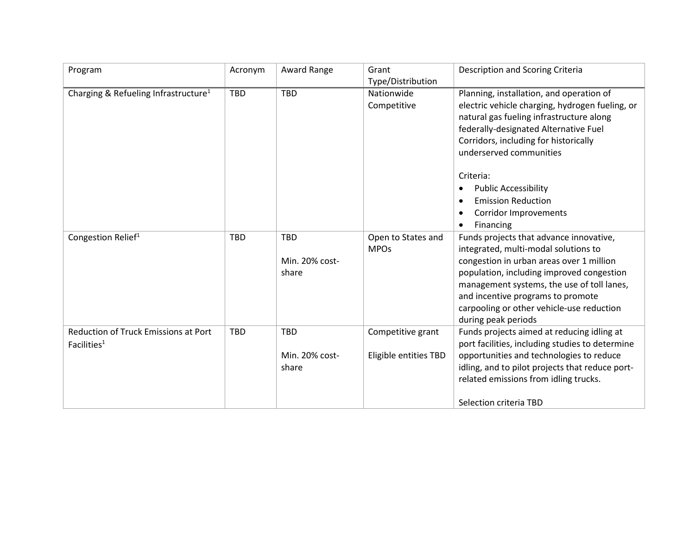| Program                                                       | Acronym    | Award Range                           | Grant                                      | Description and Scoring Criteria                                                                                                                                                                                                                                                                                                                                           |
|---------------------------------------------------------------|------------|---------------------------------------|--------------------------------------------|----------------------------------------------------------------------------------------------------------------------------------------------------------------------------------------------------------------------------------------------------------------------------------------------------------------------------------------------------------------------------|
|                                                               |            |                                       | Type/Distribution                          |                                                                                                                                                                                                                                                                                                                                                                            |
| Charging & Refueling Infrastructure <sup>1</sup>              | <b>TBD</b> | <b>TBD</b>                            | Nationwide<br>Competitive                  | Planning, installation, and operation of<br>electric vehicle charging, hydrogen fueling, or<br>natural gas fueling infrastructure along<br>federally-designated Alternative Fuel<br>Corridors, including for historically<br>underserved communities<br>Criteria:<br><b>Public Accessibility</b><br><b>Emission Reduction</b><br><b>Corridor Improvements</b><br>Financing |
| Congestion Relief <sup>1</sup>                                | <b>TBD</b> | <b>TBD</b><br>Min. 20% cost-<br>share | Open to States and<br><b>MPOs</b>          | Funds projects that advance innovative,<br>integrated, multi-modal solutions to<br>congestion in urban areas over 1 million<br>population, including improved congestion<br>management systems, the use of toll lanes,<br>and incentive programs to promote<br>carpooling or other vehicle-use reduction<br>during peak periods                                            |
| <b>Reduction of Truck Emissions at Port</b><br>Facilities $1$ | <b>TBD</b> | <b>TBD</b><br>Min. 20% cost-<br>share | Competitive grant<br>Eligible entities TBD | Funds projects aimed at reducing idling at<br>port facilities, including studies to determine<br>opportunities and technologies to reduce<br>idling, and to pilot projects that reduce port-<br>related emissions from idling trucks.<br>Selection criteria TBD                                                                                                            |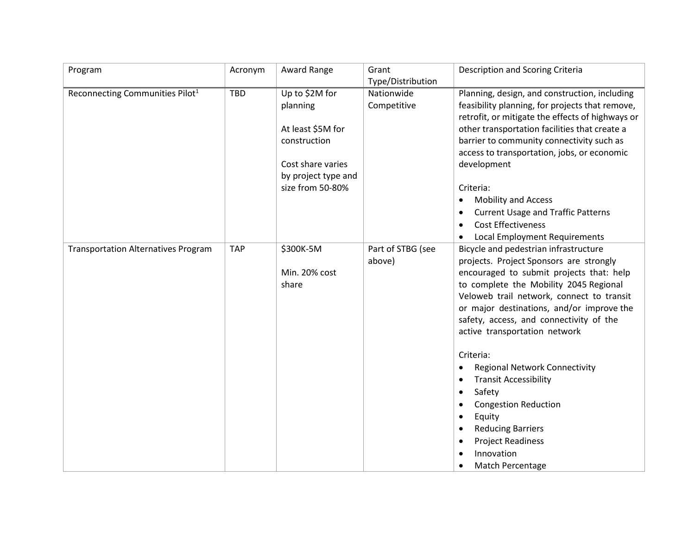| Program                                     | Acronym    | Award Range         | Grant             | Description and Scoring Criteria                 |
|---------------------------------------------|------------|---------------------|-------------------|--------------------------------------------------|
|                                             |            |                     | Type/Distribution |                                                  |
| Reconnecting Communities Pilot <sup>1</sup> | <b>TBD</b> | Up to \$2M for      | Nationwide        | Planning, design, and construction, including    |
|                                             |            | planning            | Competitive       | feasibility planning, for projects that remove,  |
|                                             |            |                     |                   | retrofit, or mitigate the effects of highways or |
|                                             |            | At least \$5M for   |                   | other transportation facilities that create a    |
|                                             |            | construction        |                   | barrier to community connectivity such as        |
|                                             |            |                     |                   | access to transportation, jobs, or economic      |
|                                             |            | Cost share varies   |                   | development                                      |
|                                             |            | by project type and |                   |                                                  |
|                                             |            | size from 50-80%    |                   | Criteria:                                        |
|                                             |            |                     |                   | <b>Mobility and Access</b>                       |
|                                             |            |                     |                   | <b>Current Usage and Traffic Patterns</b>        |
|                                             |            |                     |                   | <b>Cost Effectiveness</b><br>$\bullet$           |
|                                             |            |                     |                   | <b>Local Employment Requirements</b>             |
| <b>Transportation Alternatives Program</b>  | <b>TAP</b> | \$300K-5M           | Part of STBG (see | Bicycle and pedestrian infrastructure            |
|                                             |            |                     | above)            | projects. Project Sponsors are strongly          |
|                                             |            | Min. 20% cost       |                   | encouraged to submit projects that: help         |
|                                             |            | share               |                   | to complete the Mobility 2045 Regional           |
|                                             |            |                     |                   | Veloweb trail network, connect to transit        |
|                                             |            |                     |                   | or major destinations, and/or improve the        |
|                                             |            |                     |                   | safety, access, and connectivity of the          |
|                                             |            |                     |                   | active transportation network                    |
|                                             |            |                     |                   |                                                  |
|                                             |            |                     |                   | Criteria:                                        |
|                                             |            |                     |                   | <b>Regional Network Connectivity</b>             |
|                                             |            |                     |                   | <b>Transit Accessibility</b><br>٠                |
|                                             |            |                     |                   | Safety<br>٠                                      |
|                                             |            |                     |                   | <b>Congestion Reduction</b>                      |
|                                             |            |                     |                   | Equity<br>$\bullet$                              |
|                                             |            |                     |                   | <b>Reducing Barriers</b>                         |
|                                             |            |                     |                   | <b>Project Readiness</b>                         |
|                                             |            |                     |                   | Innovation                                       |
|                                             |            |                     |                   | Match Percentage<br>٠                            |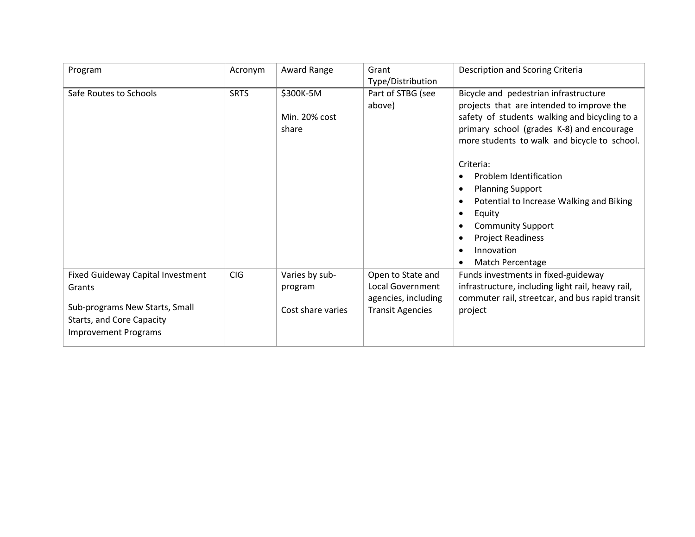| Program                                  | Acronym     | Award Range       | Grant                   | Description and Scoring Criteria                  |
|------------------------------------------|-------------|-------------------|-------------------------|---------------------------------------------------|
|                                          |             |                   | Type/Distribution       |                                                   |
| Safe Routes to Schools                   | <b>SRTS</b> | \$300K-5M         | Part of STBG (see       | Bicycle and pedestrian infrastructure             |
|                                          |             |                   | above)                  | projects that are intended to improve the         |
|                                          |             | Min. 20% cost     |                         | safety of students walking and bicycling to a     |
|                                          |             | share             |                         | primary school (grades K-8) and encourage         |
|                                          |             |                   |                         | more students to walk and bicycle to school.      |
|                                          |             |                   |                         | Criteria:                                         |
|                                          |             |                   |                         | Problem Identification                            |
|                                          |             |                   |                         | <b>Planning Support</b>                           |
|                                          |             |                   |                         | Potential to Increase Walking and Biking          |
|                                          |             |                   |                         | Equity                                            |
|                                          |             |                   |                         | <b>Community Support</b>                          |
|                                          |             |                   |                         | <b>Project Readiness</b>                          |
|                                          |             |                   |                         | Innovation                                        |
|                                          |             |                   |                         | <b>Match Percentage</b>                           |
| <b>Fixed Guideway Capital Investment</b> | CIG         | Varies by sub-    | Open to State and       | Funds investments in fixed-guideway               |
| Grants                                   |             | program           | <b>Local Government</b> | infrastructure, including light rail, heavy rail, |
|                                          |             |                   | agencies, including     | commuter rail, streetcar, and bus rapid transit   |
| Sub-programs New Starts, Small           |             | Cost share varies | <b>Transit Agencies</b> | project                                           |
| Starts, and Core Capacity                |             |                   |                         |                                                   |
| <b>Improvement Programs</b>              |             |                   |                         |                                                   |
|                                          |             |                   |                         |                                                   |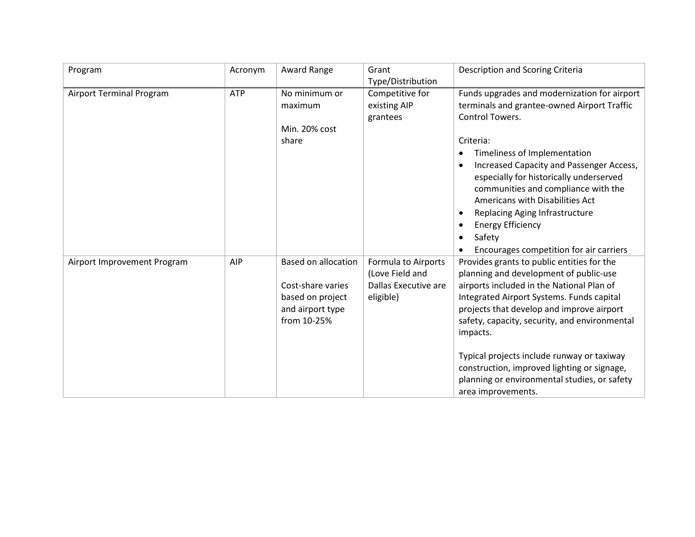| Program                         | Acronym    | Award Range                                                                                            | Grant<br>Type/Distribution                                                         | Description and Scoring Criteria                                                                                                                                                                                                                                                                                                                                                                                                                            |
|---------------------------------|------------|--------------------------------------------------------------------------------------------------------|------------------------------------------------------------------------------------|-------------------------------------------------------------------------------------------------------------------------------------------------------------------------------------------------------------------------------------------------------------------------------------------------------------------------------------------------------------------------------------------------------------------------------------------------------------|
| <b>Airport Terminal Program</b> | <b>ATP</b> | No minimum or<br>maximum<br>Min. 20% cost<br>share                                                     | Competitive for<br>existing AIP<br>grantees                                        | Funds upgrades and modernization for airport<br>terminals and grantee-owned Airport Traffic<br>Control Towers.<br>Criteria:<br>Timeliness of Implementation<br>Increased Capacity and Passenger Access,<br>especially for historically underserved<br>communities and compliance with the<br>Americans with Disabilities Act<br>Replacing Aging Infrastructure<br><b>Energy Efficiency</b><br>Safety<br>Encourages competition for air carriers             |
| Airport Improvement Program     | AIP        | <b>Based on allocation</b><br>Cost-share varies<br>based on project<br>and airport type<br>from 10-25% | <b>Formula to Airports</b><br>(Love Field and<br>Dallas Executive are<br>eligible) | Provides grants to public entities for the<br>planning and development of public-use<br>airports included in the National Plan of<br>Integrated Airport Systems. Funds capital<br>projects that develop and improve airport<br>safety, capacity, security, and environmental<br>impacts.<br>Typical projects include runway or taxiway<br>construction, improved lighting or signage,<br>planning or environmental studies, or safety<br>area improvements. |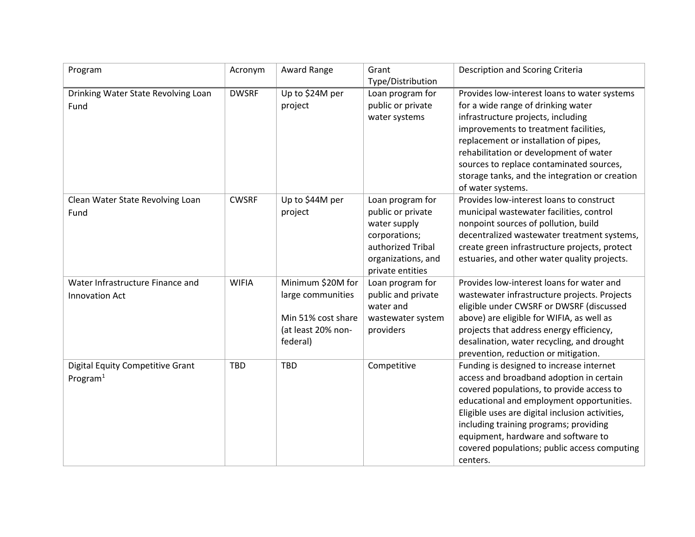| Program                                 | Acronym      | Award Range        | Grant              | Description and Scoring Criteria                |
|-----------------------------------------|--------------|--------------------|--------------------|-------------------------------------------------|
|                                         |              |                    | Type/Distribution  |                                                 |
| Drinking Water State Revolving Loan     | <b>DWSRF</b> | Up to \$24M per    | Loan program for   | Provides low-interest loans to water systems    |
| Fund                                    |              | project            | public or private  | for a wide range of drinking water              |
|                                         |              |                    | water systems      | infrastructure projects, including              |
|                                         |              |                    |                    | improvements to treatment facilities,           |
|                                         |              |                    |                    | replacement or installation of pipes,           |
|                                         |              |                    |                    | rehabilitation or development of water          |
|                                         |              |                    |                    | sources to replace contaminated sources,        |
|                                         |              |                    |                    | storage tanks, and the integration or creation  |
|                                         |              |                    |                    | of water systems.                               |
| Clean Water State Revolving Loan        | <b>CWSRF</b> | Up to \$44M per    | Loan program for   | Provides low-interest loans to construct        |
| Fund                                    |              | project            | public or private  | municipal wastewater facilities, control        |
|                                         |              |                    | water supply       | nonpoint sources of pollution, build            |
|                                         |              |                    | corporations;      | decentralized wastewater treatment systems,     |
|                                         |              |                    | authorized Tribal  | create green infrastructure projects, protect   |
|                                         |              |                    | organizations, and | estuaries, and other water quality projects.    |
|                                         |              |                    | private entities   |                                                 |
| Water Infrastructure Finance and        | <b>WIFIA</b> | Minimum \$20M for  | Loan program for   | Provides low-interest loans for water and       |
| Innovation Act                          |              | large communities  | public and private | wastewater infrastructure projects. Projects    |
|                                         |              |                    | water and          | eligible under CWSRF or DWSRF (discussed        |
|                                         |              | Min 51% cost share | wastewater system  | above) are eligible for WIFIA, as well as       |
|                                         |              | (at least 20% non- | providers          | projects that address energy efficiency,        |
|                                         |              | federal)           |                    | desalination, water recycling, and drought      |
|                                         |              |                    |                    | prevention, reduction or mitigation.            |
| <b>Digital Equity Competitive Grant</b> | <b>TBD</b>   | <b>TBD</b>         | Competitive        | Funding is designed to increase internet        |
| Program $1$                             |              |                    |                    | access and broadband adoption in certain        |
|                                         |              |                    |                    | covered populations, to provide access to       |
|                                         |              |                    |                    | educational and employment opportunities.       |
|                                         |              |                    |                    | Eligible uses are digital inclusion activities, |
|                                         |              |                    |                    | including training programs; providing          |
|                                         |              |                    |                    | equipment, hardware and software to             |
|                                         |              |                    |                    | covered populations; public access computing    |
|                                         |              |                    |                    | centers.                                        |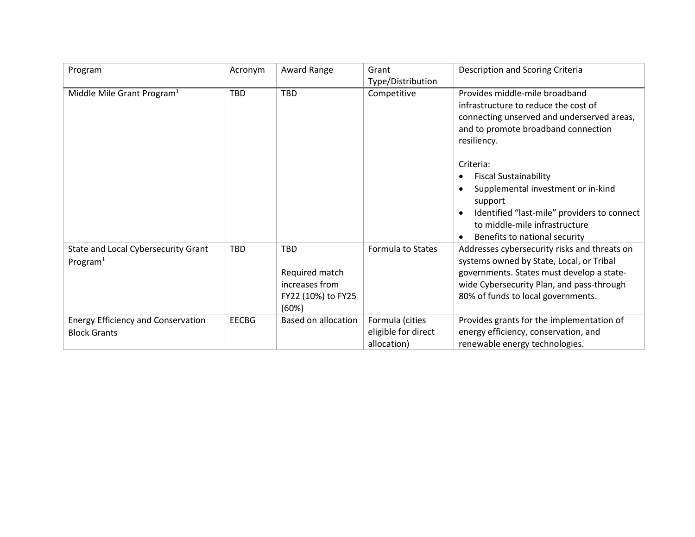| Program                                                          | Acronym      | Award Range                                                                                                 | Grant                                                 | Description and Scoring Criteria                                                                                                                                                                                                                                                                                                                                                          |
|------------------------------------------------------------------|--------------|-------------------------------------------------------------------------------------------------------------|-------------------------------------------------------|-------------------------------------------------------------------------------------------------------------------------------------------------------------------------------------------------------------------------------------------------------------------------------------------------------------------------------------------------------------------------------------------|
|                                                                  |              |                                                                                                             | Type/Distribution                                     |                                                                                                                                                                                                                                                                                                                                                                                           |
| Middle Mile Grant Program <sup>1</sup>                           | <b>TBD</b>   | <b>TBD</b>                                                                                                  | Competitive                                           | Provides middle-mile broadband<br>infrastructure to reduce the cost of<br>connecting unserved and underserved areas,<br>and to promote broadband connection<br>resiliency.<br>Criteria:<br><b>Fiscal Sustainability</b><br>Supplemental investment or in-kind<br>support<br>Identified "last-mile" providers to connect<br>to middle-mile infrastructure<br>Benefits to national security |
| State and Local Cybersecurity Grant<br>Program <sup>1</sup>      | <b>TBD</b>   | <b>TBD</b><br>Required match<br>increases from<br>FY22 (10%) to FY25<br>(60%)<br><b>Based on allocation</b> | Formula to States                                     | Addresses cybersecurity risks and threats on<br>systems owned by State, Local, or Tribal<br>governments. States must develop a state-<br>wide Cybersecurity Plan, and pass-through<br>80% of funds to local governments.                                                                                                                                                                  |
| <b>Energy Efficiency and Conservation</b><br><b>Block Grants</b> | <b>EECBG</b> |                                                                                                             | Formula (cities<br>eligible for direct<br>allocation) | Provides grants for the implementation of<br>energy efficiency, conservation, and<br>renewable energy technologies.                                                                                                                                                                                                                                                                       |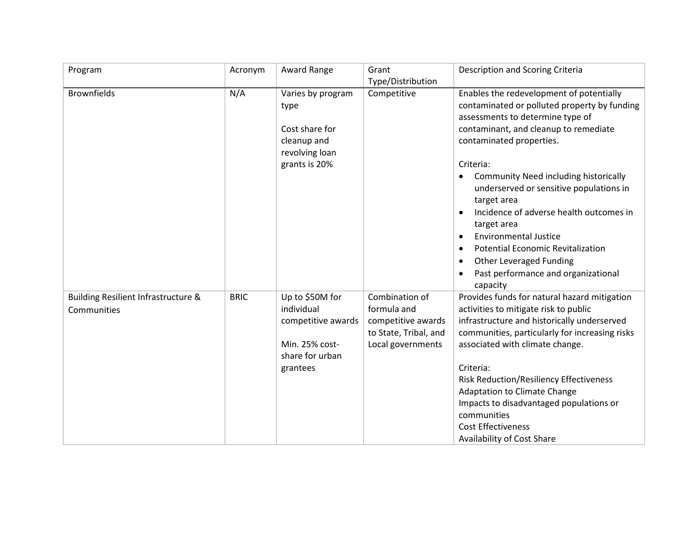| Program                                            | Acronym     | Award Range                                                                                          | Grant                                                                                             | Description and Scoring Criteria                                                                                                                                                                                                                                                                                                                                                                                                                                                                                                                   |
|----------------------------------------------------|-------------|------------------------------------------------------------------------------------------------------|---------------------------------------------------------------------------------------------------|----------------------------------------------------------------------------------------------------------------------------------------------------------------------------------------------------------------------------------------------------------------------------------------------------------------------------------------------------------------------------------------------------------------------------------------------------------------------------------------------------------------------------------------------------|
|                                                    |             |                                                                                                      | Type/Distribution                                                                                 |                                                                                                                                                                                                                                                                                                                                                                                                                                                                                                                                                    |
| <b>Brownfields</b>                                 | N/A         | Varies by program<br>type<br>Cost share for<br>cleanup and<br>revolving loan<br>grants is 20%        | Competitive                                                                                       | Enables the redevelopment of potentially<br>contaminated or polluted property by funding<br>assessments to determine type of<br>contaminant, and cleanup to remediate<br>contaminated properties.<br>Criteria:<br>Community Need including historically<br>underserved or sensitive populations in<br>target area<br>Incidence of adverse health outcomes in<br>target area<br><b>Environmental Justice</b><br><b>Potential Economic Revitalization</b><br>$\bullet$<br>Other Leveraged Funding<br>Past performance and organizational<br>capacity |
| Building Resilient Infrastructure &<br>Communities | <b>BRIC</b> | Up to \$50M for<br>individual<br>competitive awards<br>Min. 25% cost-<br>share for urban<br>grantees | Combination of<br>formula and<br>competitive awards<br>to State, Tribal, and<br>Local governments | Provides funds for natural hazard mitigation<br>activities to mitigate risk to public<br>infrastructure and historically underserved<br>communities, particularly for increasing risks<br>associated with climate change.<br>Criteria:<br><b>Risk Reduction/Resiliency Effectiveness</b><br><b>Adaptation to Climate Change</b><br>Impacts to disadvantaged populations or<br>communities<br><b>Cost Effectiveness</b><br>Availability of Cost Share                                                                                               |